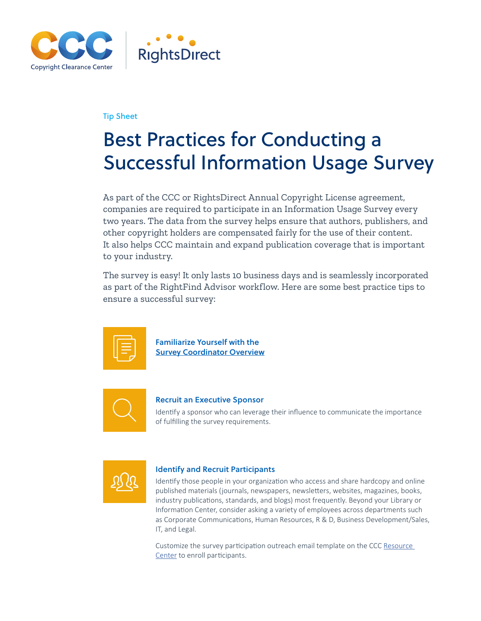

## Tip Sheet

# Best Practices for Conducting a Successful Information Usage Survey

As part of the CCC or RightsDirect Annual Copyright License agreement, companies are required to participate in an Information Usage Survey every two years. The data from the survey helps ensure that authors, publishers, and other copyright holders are compensated fairly for the use of their content. It also helps CCC maintain and expand publication coverage that is important to your industry.

The survey is easy! It only lasts 10 business days and is seamlessly incorporated as part of the RightFind Advisor workflow. Here are some best practice tips to ensure a successful survey:



Familiarize Yourself with the [Survey Coordinator Overview](http://www.copyright.com/crc/wp-content/uploads/sites/2/Guide-RightFind-Advisor-Information-Usage-Survey-Coordinator-Instructions-8_13_2019.pdf)



### Recruit an Executive Sponsor

Identify a sponsor who can leverage their influence to communicate the importance of fulfilling the survey requirements.



### Identify and Recruit Participants

Identify those people in your organization who access and share hardcopy and online published materials (journals, newspapers, newsletters, websites, magazines, books, industry publications, standards, and blogs) most frequently. Beyond your Library or Information Center, consider asking a variety of employees across departments such as Corporate Communications, Human Resources, R & D, Business Development/Sales, IT, and Legal.

Customize the survey participation outreach email template on the CCC [Resource](http://www.copyright.com/crc/usage-survey/) [Center](http://www.copyright.com/crc/usage-survey/) to enroll participants.